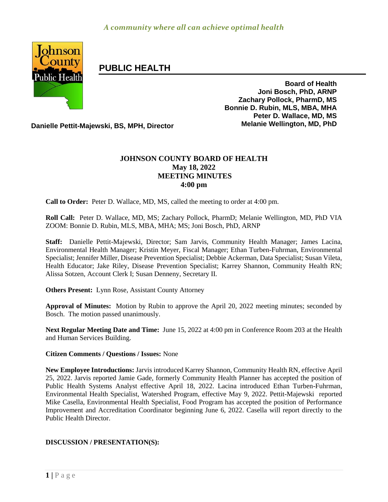

# **PUBLIC HEALTH**

**Board of Health Joni Bosch, PhD, ARNP Zachary Pollock, PharmD, MS Bonnie D. Rubin, MLS, MBA, MHA Peter D. Wallace, MD, MS**

**Danielle Pettit-Majewski, BS, MPH, Director Melanie Wellington, MD, PhD**

# **JOHNSON COUNTY BOARD OF HEALTH May 18, 2022 MEETING MINUTES 4:00 pm**

**Call to Order:** Peter D. Wallace, MD, MS, called the meeting to order at 4:00 pm.

**Roll Call:** Peter D. Wallace, MD, MS; Zachary Pollock, PharmD; Melanie Wellington, MD, PhD VIA ZOOM: Bonnie D. Rubin, MLS, MBA, MHA; MS; Joni Bosch, PhD, ARNP

**Staff:** Danielle Pettit-Majewski, Director; Sam Jarvis, Community Health Manager; James Lacina, Environmental Health Manager; Kristin Meyer, Fiscal Manager; Ethan Turben-Fuhrman, Environmental Specialist; Jennifer Miller, Disease Prevention Specialist; Debbie Ackerman, Data Specialist; Susan Vileta, Health Educator; Jake Riley, Disease Prevention Specialist; Karrey Shannon, Community Health RN; Alissa Sotzen, Account Clerk I; Susan Denneny, Secretary II.

**Others Present:** Lynn Rose, Assistant County Attorney

**Approval of Minutes:** Motion by Rubin to approve the April 20, 2022 meeting minutes; seconded by Bosch. The motion passed unanimously.

**Next Regular Meeting Date and Time:** June 15, 2022 at 4:00 pm in Conference Room 203 at the Health and Human Services Building.

**Citizen Comments / Questions / Issues:** None

**New Employee Introductions:** Jarvis introduced Karrey Shannon, Community Health RN, effective April 25, 2022. Jarvis reported Jamie Gade, formerly Community Health Planner has accepted the position of Public Health Systems Analyst effective April 18, 2022. Lacina introduced Ethan Turben-Fuhrman, Environmental Health Specialist, Watershed Program, effective May 9, 2022. Pettit-Majewski reported Mike Casella, Environmental Health Specialist, Food Program has accepted the position of Performance Improvement and Accreditation Coordinator beginning June 6, 2022. Casella will report directly to the Public Health Director.

## **DISCUSSION / PRESENTATION(S):**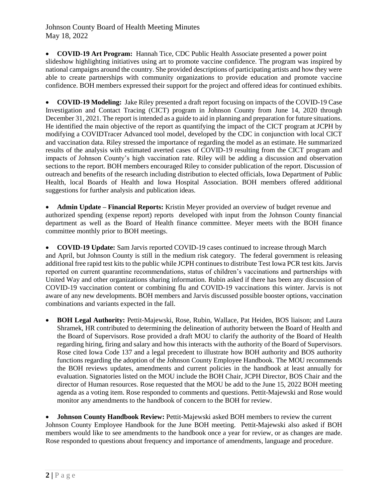**COVID-19 Art Program:** Hannah Tice, CDC Public Health Associate presented a power point slideshow highlighting initiatives using art to promote vaccine confidence. The program was inspired by national campaigns around the country. She provided descriptions of participating artists and how they were able to create partnerships with community organizations to provide education and promote vaccine confidence. BOH members expressed their support for the project and offered ideas for continued exhibits.

 **COVID-19 Modeling:** Jake Riley presented a draft report focusing on impacts of the COVID-19 Case Investigation and Contact Tracing (CICT) program in Johnson County from June 14, 2020 through December 31, 2021. The report is intended as a guide to aid in planning and preparation for future situations. He identified the main objective of the report as quantifying the impact of the CICT program at JCPH by modifying a COVIDTracer Advanced tool model, developed by the CDC in conjunction with local CICT and vaccination data. Riley stressed the importance of regarding the model as an estimate. He summarized results of the analysis with estimated averted cases of COVID-19 resulting from the CICT program and impacts of Johnson County's high vaccination rate. Riley will be adding a discussion and observation sections to the report. BOH members encouraged Riley to consider publication of the report. Discussion of outreach and benefits of the research including distribution to elected officials, Iowa Department of Public Health, local Boards of Health and Iowa Hospital Association. BOH members offered additional suggestions for further analysis and publication ideas.

 **Admin Update – Financial Reports:** Kristin Meyer provided an overview of budget revenue and authorized spending (expense report) reports developed with input from the Johnson County financial department as well as the Board of Health finance committee. Meyer meets with the BOH finance committee monthly prior to BOH meetings.

 **COVID-19 Update:** Sam Jarvis reported COVID-19 cases continued to increase through March and April, but Johnson County is still in the medium risk category. The federal government is releasing additional free rapid test kits to the public while JCPH continues to distribute Test Iowa PCR test kits. Jarvis reported on current quarantine recommendations, status of children's vaccinations and partnerships with United Way and other organizations sharing information. Rubin asked if there has been any discussion of COVID-19 vaccination content or combining flu and COVID-19 vaccinations this winter. Jarvis is not aware of any new developments. BOH members and Jarvis discussed possible booster options, vaccination combinations and variants expected in the fall.

 **BOH Legal Authority:** Pettit-Majewski, Rose, Rubin, Wallace, Pat Heiden, BOS liaison; and Laura Shramek, HR contributed to determining the delineation of authority between the Board of Health and the Board of Supervisors. Rose provided a draft MOU to clarify the authority of the Board of Health regarding hiring, firing and salary and how this interacts with the authority of the Board of Supervisors. Rose cited Iowa Code 137 and a legal precedent to illustrate how BOH authority and BOS authority functions regarding the adoption of the Johnson County Employee Handbook. The MOU recommends the BOH reviews updates, amendments and current policies in the handbook at least annually for evaluation. Signatories listed on the MOU include the BOH Chair, JCPH Director, BOS Chair and the director of Human resources. Rose requested that the MOU be add to the June 15, 2022 BOH meeting agenda as a voting item. Rose responded to comments and questions. Pettit-Majewski and Rose would monitor any amendments to the handbook of concern to the BOH for review.

 **Johnson County Handbook Review:** Pettit-Majewski asked BOH members to review the current Johnson County Employee Handbook for the June BOH meeting. Pettit-Majewski also asked if BOH members would like to see amendments to the handbook once a year for review, or as changes are made. Rose responded to questions about frequency and importance of amendments, language and procedure.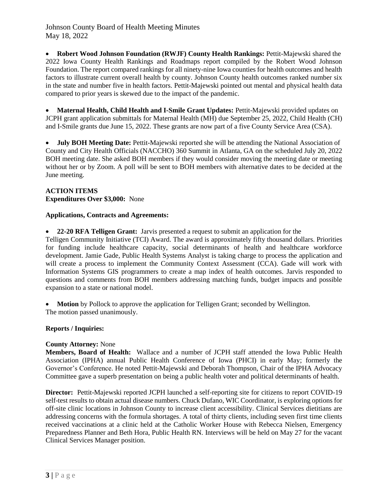**Robert Wood Johnson Foundation (RWJF) County Health Rankings:** Pettit-Majewski shared the 2022 Iowa County Health Rankings and Roadmaps report compiled by the Robert Wood Johnson Foundation. The report compared rankings for all ninety-nine Iowa counties for health outcomes and health factors to illustrate current overall health by county. Johnson County health outcomes ranked number six in the state and number five in health factors. Pettit-Majewski pointed out mental and physical health data compared to prior years is skewed due to the impact of the pandemic.

 **Maternal Health, Child Health and I-Smile Grant Updates:** Pettit-Majewski provided updates on JCPH grant application submittals for Maternal Health (MH) due September 25, 2022, Child Health (CH) and I-Smile grants due June 15, 2022. These grants are now part of a five County Service Area (CSA).

 **July BOH Meeting Date:** Pettit-Majewski reported she will be attending the National Association of County and City Health Officials (NACCHO) 360 Summit in Atlanta, GA on the scheduled July 20, 2022 BOH meeting date. She asked BOH members if they would consider moving the meeting date or meeting without her or by Zoom. A poll will be sent to BOH members with alternative dates to be decided at the June meeting.

#### **ACTION ITEMS Expenditures Over \$3,000:** None

# **Applications, Contracts and Agreements:**

**22-20 RFA Telligen Grant:** Jarvis presented a request to submit an application for the

Telligen Community Initiative (TCI) Award. The award is approximately fifty thousand dollars. Priorities for funding include healthcare capacity, social determinants of health and healthcare workforce development. Jamie Gade, Public Health Systems Analyst is taking charge to process the application and will create a process to implement the Community Context Assessment (CCA). Gade will work with Information Systems GIS programmers to create a map index of health outcomes. Jarvis responded to questions and comments from BOH members addressing matching funds, budget impacts and possible expansion to a state or national model.

 **Motion** by Pollock to approve the application for Telligen Grant; seconded by Wellington. The motion passed unanimously.

## **Reports / Inquiries:**

## **County Attorney:** None

**Members, Board of Health:** Wallace and a number of JCPH staff attended the Iowa Public Health Association (IPHA) annual Public Health Conference of Iowa (PHCI) in early May; formerly the Governor's Conference. He noted Pettit-Majewski and Deborah Thompson, Chair of the IPHA Advocacy Committee gave a superb presentation on being a public health voter and political determinants of health.

**Director:** Pettit-Majewski reported JCPH launched a self-reporting site for citizens to report COVID-19 self-test results to obtain actual disease numbers. Chuck Dufano, WIC Coordinator, is exploring options for off-site clinic locations in Johnson County to increase client accessibility. Clinical Services dietitians are addressing concerns with the formula shortages. A total of thirty clients, including seven first time clients received vaccinations at a clinic held at the Catholic Worker House with Rebecca Nielsen, Emergency Preparedness Planner and Beth Hora, Public Health RN. Interviews will be held on May 27 for the vacant Clinical Services Manager position.